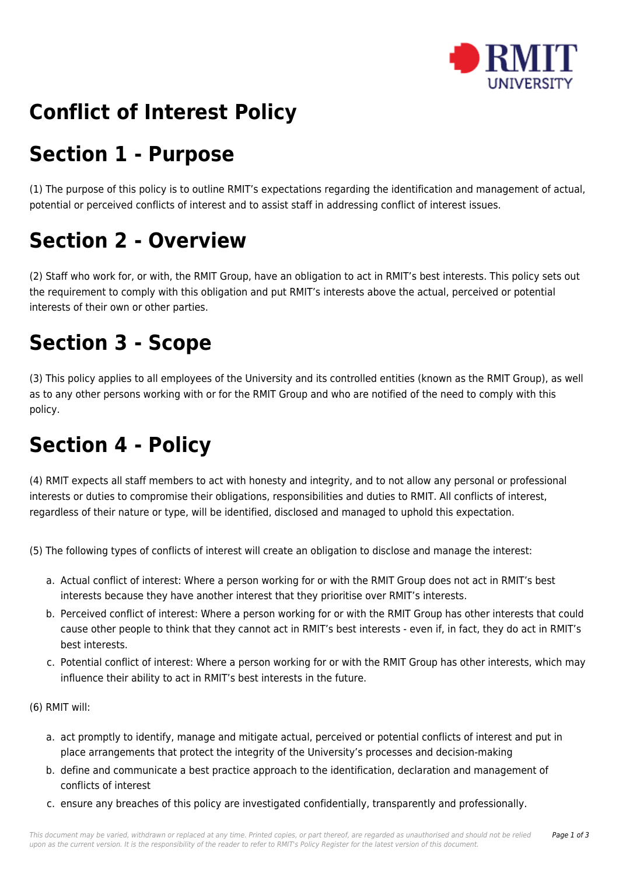

# **Conflict of Interest Policy**

# **Section 1 - Purpose**

(1) The purpose of this policy is to outline RMIT's expectations regarding the identification and management of actual, potential or perceived conflicts of interest and to assist staff in addressing conflict of interest issues.

# **Section 2 - Overview**

(2) Staff who work for, or with, the RMIT Group, have an obligation to act in RMIT's best interests. This policy sets out the requirement to comply with this obligation and put RMIT's interests above the actual, perceived or potential interests of their own or other parties.

## **Section 3 - Scope**

(3) This policy applies to all employees of the University and its controlled entities (known as the RMIT Group), as well as to any other persons working with or for the RMIT Group and who are notified of the need to comply with this policy.

## **Section 4 - Policy**

(4) RMIT expects all staff members to act with honesty and integrity, and to not allow any personal or professional interests or duties to compromise their obligations, responsibilities and duties to RMIT. All conflicts of interest, regardless of their nature or type, will be identified, disclosed and managed to uphold this expectation.

(5) The following types of conflicts of interest will create an obligation to disclose and manage the interest:

- a. Actual conflict of interest: Where a person working for or with the RMIT Group does not act in RMIT's best interests because they have another interest that they prioritise over RMIT's interests.
- b. Perceived conflict of interest: Where a person working for or with the RMIT Group has other interests that could cause other people to think that they cannot act in RMIT's best interests - even if, in fact, they do act in RMIT's best interests.
- c. Potential conflict of interest: Where a person working for or with the RMIT Group has other interests, which may influence their ability to act in RMIT's best interests in the future.
- (6) RMIT will:
	- a. act promptly to identify, manage and mitigate actual, perceived or potential conflicts of interest and put in place arrangements that protect the integrity of the University's processes and decision-making
	- b. define and communicate a best practice approach to the identification, declaration and management of conflicts of interest
	- c. ensure any breaches of this policy are investigated confidentially, transparently and professionally.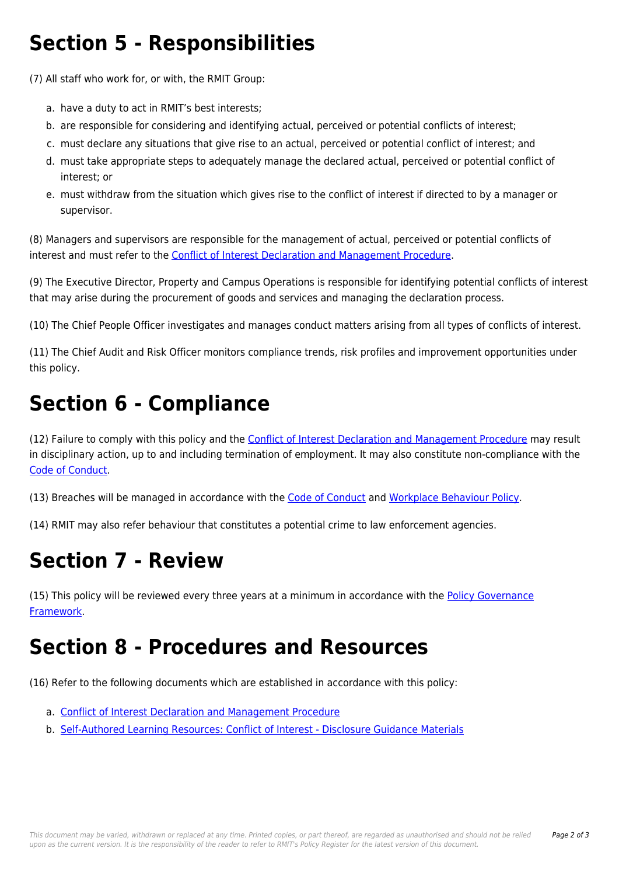## **Section 5 - Responsibilities**

(7) All staff who work for, or with, the RMIT Group:

- a. have a duty to act in RMIT's best interests;
- b. are responsible for considering and identifying actual, perceived or potential conflicts of interest;
- c. must declare any situations that give rise to an actual, perceived or potential conflict of interest; and
- d. must take appropriate steps to adequately manage the declared actual, perceived or potential conflict of interest; or
- e. must withdraw from the situation which gives rise to the conflict of interest if directed to by a manager or supervisor.

(8) Managers and supervisors are responsible for the management of actual, perceived or potential conflicts of interest and must refer to the [Conflict of Interest Declaration and Management Procedure.](https://policies.rmit.edu.au/document/view.php?id=90)

(9) The Executive Director, Property and Campus Operations is responsible for identifying potential conflicts of interest that may arise during the procurement of goods and services and managing the declaration process.

(10) The Chief People Officer investigates and manages conduct matters arising from all types of conflicts of interest.

(11) The Chief Audit and Risk Officer monitors compliance trends, risk profiles and improvement opportunities under this policy.

# **Section 6 - Compliance**

(12) Failure to comply with this policy and the [Conflict of Interest Declaration and Management Procedure](https://policies.rmit.edu.au/document/view.php?id=90) may result in disciplinary action, up to and including termination of employment. It may also constitute non-compliance with the [Code of Conduct](https://policies.rmit.edu.au/document/view.php?id=52).

(13) Breaches will be managed in accordance with the [Code of Conduct](https://policies.rmit.edu.au/document/view.php?id=52) and [Workplace Behaviour Policy](https://policies.rmit.edu.au/document/view.php?id=122).

(14) RMIT may also refer behaviour that constitutes a potential crime to law enforcement agencies.

## **Section 7 - Review**

(15) This policy will be reviewed every three years at a minimum in accordance with the [Policy Governance](https://policies.rmit.edu.au/document/view.php?id=57) [Framework.](https://policies.rmit.edu.au/document/view.php?id=57)

### **Section 8 - Procedures and Resources**

(16) Refer to the following documents which are established in accordance with this policy:

- a. [Conflict of Interest Declaration and Management Procedure](https://policies.rmit.edu.au/document/view.php?id=90)
- b. [Self-Authored Learning Resources: Conflict of Interest Disclosure Guidance Materials](https://policies.rmit.edu.au/document/view.php?id=92)